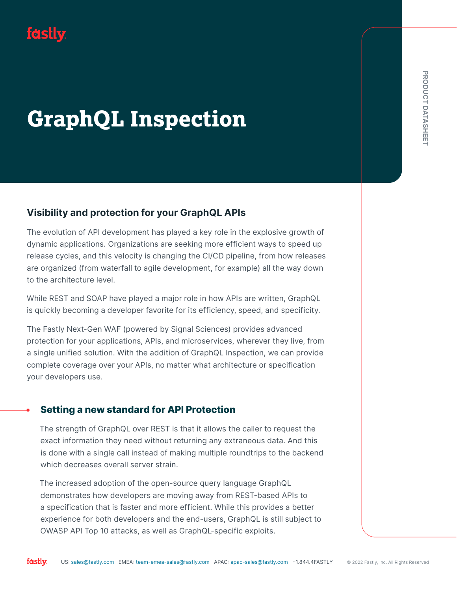# fastly

# **GraphQL Inspection**

# Visibility and protection for your GraphQL APIs

The evolution of API development has played a key role in the explosive growth of dynamic applications. Organizations are seeking more efficient ways to speed up release cycles, and this velocity is changing the CI/CD pipeline, from how releases are organized (from waterfall to agile development, for example) all the way down to the architecture level.

While REST and SOAP have played a major role in how APIs are written, GraphQL is quickly becoming a developer favorite for its efficiency, speed, and specificity.

US: Sales and protection for your GraphQL APIs<br>
US: sales and APA development has played a key role in the explosive growth of<br>
significations. Organizations are seeking more efficient, then more releases<br>
peed, and this v The Fastly Next-Gen WAF (powered by Signal Sciences) provides advanced protection for your applications, APIs, and microservices, wherever they live, from a single unified solution. With the addition of GraphQL Inspection, we can provide complete coverage over your APIs, no matter what architecture or specification your developers use.

# • Setting a new standard for API Protection

The strength of GraphQL over REST is that it allows the caller to request the exact information they need without returning any extraneous data. And this is done with a single call instead of making multiple roundtrips to the backend which decreases overall server strain.

The increased adoption of the open-source query language GraphQL demonstrates how developers are moving away from REST-based APIs to a specification that is faster and more efficient. While this provides a better experience for both developers and the end-users, GraphQL is still subject to OWASP API Top 10 attacks, as well as GraphQL-specific exploits.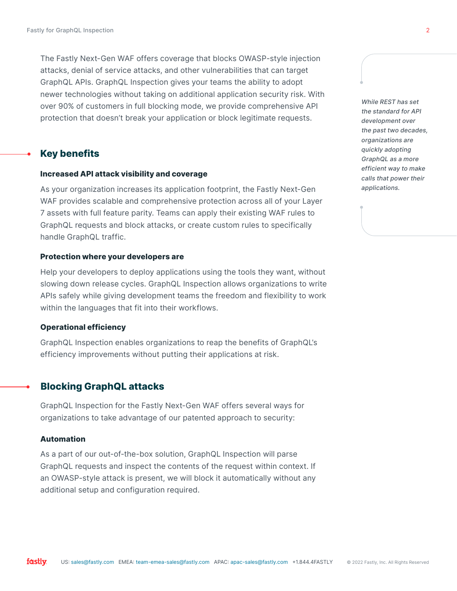The Fastly Next-Gen WAF offers coverage that blocks OWASP-style injection attacks, denial of service attacks, and other vulnerabilities that can target GraphQL APIs. GraphQL Inspection gives your teams the ability to adopt newer technologies without taking on additional application security risk. With over 90% of customers in full blocking mode, we provide comprehensive API protection that doesn't break your application or block legitimate requests.

## **Key benefits**

#### Increased API attack visibility and coverage

As your organization increases its application footprint, the Fastly Next-Gen WAF provides scalable and comprehensive protection across all of your Layer 7 assets with full feature parity. Teams can apply their existing WAF rules to GraphQL requests and block attacks, or create custom rules to specifically handle GraphQL traffic.

#### Protection where your developers are

Help your developers to deploy applications using the tools they want, without slowing down release cycles. GraphQL Inspection allows organizations to write APIs safely while giving development teams the freedom and flexibility to work within the languages that fit into their workflows.

#### Operational efficiency

GraphQL Inspection enables organizations to reap the benefits of GraphQL's efficiency improvements without putting their applications at risk.

#### • Blocking GraphQL attacks

GraphQL Inspection for the Fastly Next-Gen WAF offers several ways for organizations to take advantage of our patented approach to security:

#### Automation

As a part of our out-of-the-box solution, GraphQL Inspection will parse GraphQL requests and inspect the contents of the request within context. If an OWASP-style attack is present, we will block it automatically without any additional setup and configuration required.

While REST has set the standard for API development over the past two decades, organizations are quickly adopting GraphQL as a more efficient way to make calls that power their applications.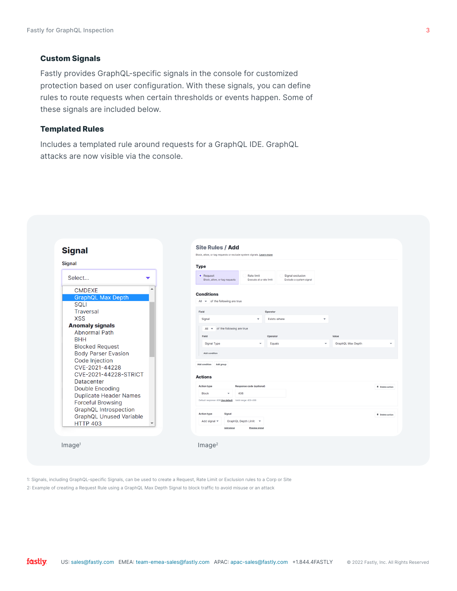#### Custom Signals

Fastly provides GraphQL-specific signals in the console for customized protection based on user configuration. With these signals, you can define rules to route requests when certain thresholds or events happen. Some of these signals are included below.

#### Templated Rules

Includes a templated rule around requests for a GraphQL IDE. GraphQL attacks are now visible via the console.



1: Signals, including GraphQL-specific Signals, can be used to create a Request, Rate Limit or Exclusion rules to a Corp or Site

2: Example of creating a Request Rule using a GraphQL Max Depth Signal to block traffic to avoid misuse or an attack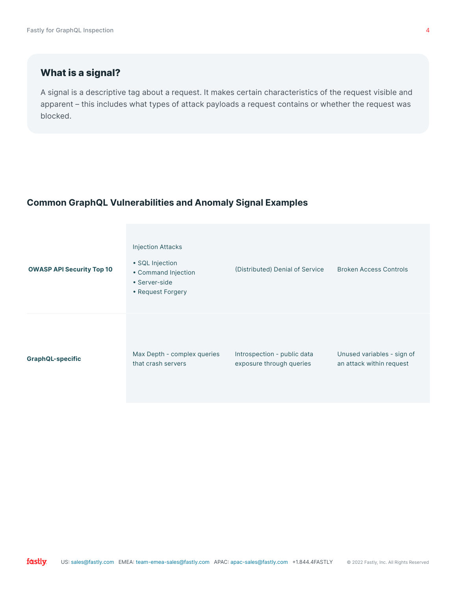# What is a signal?

A signal is a descriptive tag about a request. It makes certain characteristics of the request visible and apparent – this includes what types of attack payloads a request contains or whether the request was blocked.

# Common GraphQL Vulnerabilities and Anomaly Signal Examples

| <b>OWASP API Security Top 10</b> | <b>Injection Attacks</b><br>• SQL Injection<br>• Command Injection<br>• Server-side<br>• Request Forgery | (Distributed) Denial of Service | <b>Broken Access Controls</b> |
|----------------------------------|----------------------------------------------------------------------------------------------------------|---------------------------------|-------------------------------|
| <b>GraphQL-specific</b>          | Max Depth - complex queries                                                                              | Introspection - public data     | Unused variables - sign of    |
|                                  | that crash servers                                                                                       | exposure through queries        | an attack within request      |